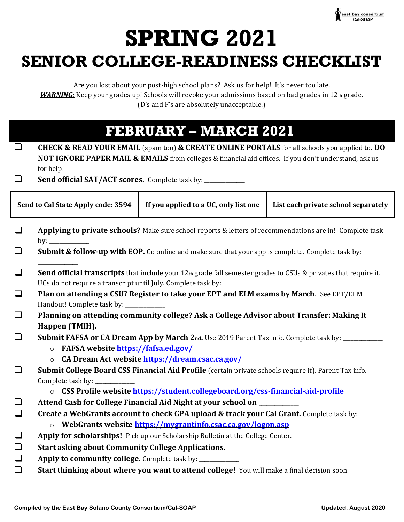

# **SPRING 2021 SENIOR COLLEGE-READINESS CHECKLIST**

Are you lost about your post-high school plans? Ask us for help! It's never too late. *WARNING:* Keep your grades up! Schools will revoke your admissions based on bad grades in 12th grade. (D's and F's are absolutely unacceptable.)

#### **FEBRUARY – MARCH 2021**

| <b>CHECK &amp; READ YOUR EMAIL</b> (spam too) & <b>CREATE ONLINE PORTALS</b> for all schools you applied to. DO  |
|------------------------------------------------------------------------------------------------------------------|
| <b>NOT IGNORE PAPER MAIL &amp; EMAILS</b> from colleges & financial aid offices. If you don't understand, ask us |
| for help!                                                                                                        |

 $\Box$ Send official SAT/ACT scores. Complete task by: \_\_\_\_\_\_\_\_\_\_\_\_\_\_\_\_\_\_\_\_\_\_\_\_\_\_\_\_\_\_\_\_\_

| Send to Cal State Apply code: 3594 |                                                                                                                                                                                                                                                                                                                                                                                              | If you applied to a UC, only list one                                                       | List each private school separately |  |
|------------------------------------|----------------------------------------------------------------------------------------------------------------------------------------------------------------------------------------------------------------------------------------------------------------------------------------------------------------------------------------------------------------------------------------------|---------------------------------------------------------------------------------------------|-------------------------------------|--|
| $\Box$                             | Applying to private schools? Make sure school reports & letters of recommendations are in! Complete task<br>by: $\qquad \qquad$                                                                                                                                                                                                                                                              |                                                                                             |                                     |  |
| $\Box$                             | Submit & follow-up with EOP. Go online and make sure that your app is complete. Complete task by:                                                                                                                                                                                                                                                                                            |                                                                                             |                                     |  |
| $\Box$                             | Send official transcripts that include your 12th grade fall semester grades to CSUs & privates that require it.<br>UCs do not require a transcript until July. Complete task by: ___________                                                                                                                                                                                                 |                                                                                             |                                     |  |
| $\Box$                             | Plan on attending a CSU? Register to take your EPT and ELM exams by March. See EPT/ELM<br>Handout! Complete task by: ________<br>Planning on attending community college? Ask a College Advisor about Transfer: Making It<br>Happen (TMIH).<br><b>Submit FAFSA or CA Dream App by March 2nd.</b> Use 2019 Parent Tax info. Complete task by:<br><b>o</b> FAFSA website https://fafsa.ed.gov/ |                                                                                             |                                     |  |
| $\Box$                             |                                                                                                                                                                                                                                                                                                                                                                                              |                                                                                             |                                     |  |
| $\Box$                             |                                                                                                                                                                                                                                                                                                                                                                                              |                                                                                             |                                     |  |
| $\Box$                             | CA Dream Act website https://dream.csac.ca.gov/<br>$\circ$<br>Submit College Board CSS Financial Aid Profile (certain private schools require it). Parent Tax info.<br>Complete task by: __                                                                                                                                                                                                  |                                                                                             |                                     |  |
| $\Box$<br>$\Box$                   | o CSS Profile website https://student.collegeboard.org/css-financial-aid-profile<br>Attend Cash for College Financial Aid Night at your school on _________<br>Create a WebGrants account to check GPA upload & track your Cal Grant. Complete task by: _____                                                                                                                                |                                                                                             |                                     |  |
| $\Box$<br>$\Box$<br>$\Box$         | WebGrants website https://mygrantinfo.csac.ca.gov/logon.asp<br>$\circ$<br>Apply for scholarships! Pick up our Scholarship Bulletin at the College Center.<br><b>Start asking about Community College Applications.</b><br>Apply to community college. Complete task by: __________                                                                                                           |                                                                                             |                                     |  |
| $\Box$                             |                                                                                                                                                                                                                                                                                                                                                                                              | Start thinking about where you want to attend college! You will make a final decision soon! |                                     |  |